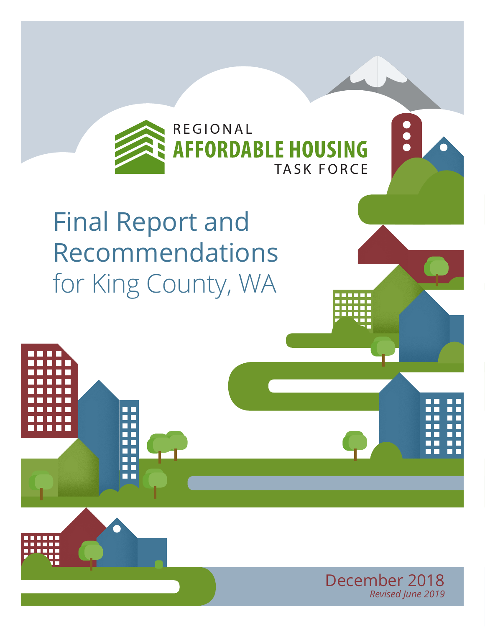

## Final Report and Recommendations for King County, WA

T



 $\sum_{i=1}^{n}$ 

**Regional Affordable Housing Task Force** | Page 1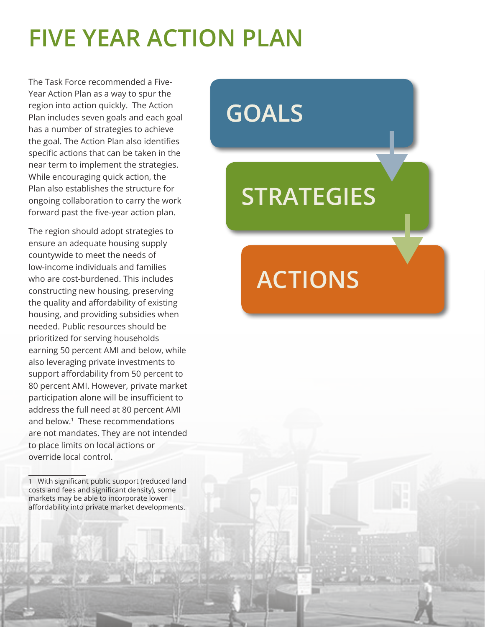## **FIVE YEAR ACTION PLAN**

The Task Force recommended a Five-Year Action Plan as a way to spur the region into action quickly. The Action Plan includes seven goals and each goal has a number of strategies to achieve the goal. The Action Plan also identifies specific actions that can be taken in the near term to implement the strategies. While encouraging quick action, the Plan also establishes the structure for ongoing collaboration to carry the work forward past the five-year action plan.

The region should adopt strategies to ensure an adequate housing supply countywide to meet the needs of low-income individuals and families who are cost-burdened. This includes constructing new housing, preserving the quality and affordability of existing housing, and providing subsidies when needed. Public resources should be prioritized for serving households earning 50 percent AMI and below, while also leveraging private investments to support affordability from 50 percent to 80 percent AMI. However, private market participation alone will be insufficient to address the full need at 80 percent AMI and below.<sup>1</sup> These recommendations are not mandates. They are not intended to place limits on local actions or override local control.

1 With significant public support (reduced land costs and fees and significant density), some markets may be able to incorporate lower affordability into private market developments.

# **GOALS**

## **STRATEGIES**

p

**p** 

**ACTIONS**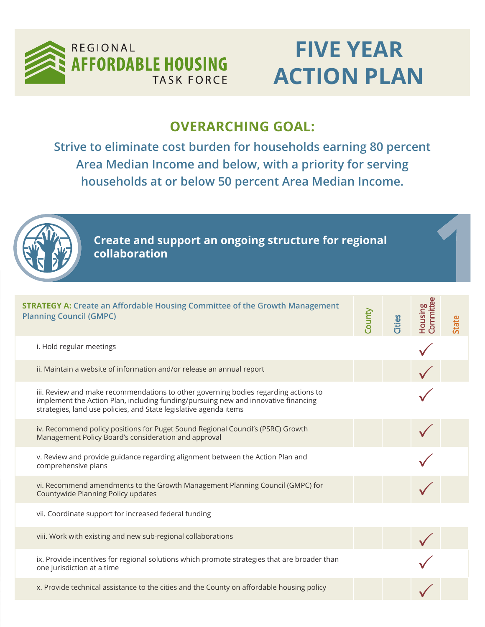

## K FORCE **ACTION FLAIN FIVE YEAR ACTION PLAN**

### **OVERARCHING GOAL:**

**Strive to eliminate cost burden for households earning 80 percent** Area Median Income and below, with a priority for serving households at or below 50 percent Area Median Income  $\frac{1}{2}$ **households at or below 50 percent Area Median Income.**

| Create and support an ongoing structure for regional<br>collaboration                                                                                                                                                                          |               |        |                                    |       |
|------------------------------------------------------------------------------------------------------------------------------------------------------------------------------------------------------------------------------------------------|---------------|--------|------------------------------------|-------|
| <b>STRATEGY A: Create an Affordable Housing Committee of the Growth Management</b><br><b>Planning Council (GMPC)</b>                                                                                                                           | <b>County</b> | Cities | <b>Committee</b><br><b>Aousing</b> | State |
| i. Hold regular meetings                                                                                                                                                                                                                       |               |        |                                    |       |
| ii. Maintain a website of information and/or release an annual report                                                                                                                                                                          |               |        |                                    |       |
| iii. Review and make recommendations to other governing bodies regarding actions to<br>implement the Action Plan, including funding/pursuing new and innovative financing<br>strategies, land use policies, and State legislative agenda items |               |        |                                    |       |
| iv. Recommend policy positions for Puget Sound Regional Council's (PSRC) Growth<br>Management Policy Board's consideration and approval                                                                                                        |               |        |                                    |       |
| v. Review and provide guidance regarding alignment between the Action Plan and<br>comprehensive plans                                                                                                                                          |               |        |                                    |       |
| vi. Recommend amendments to the Growth Management Planning Council (GMPC) for<br>Countywide Planning Policy updates                                                                                                                            |               |        |                                    |       |
| vii. Coordinate support for increased federal funding                                                                                                                                                                                          |               |        |                                    |       |
| viii. Work with existing and new sub-regional collaborations                                                                                                                                                                                   |               |        |                                    |       |
| ix. Provide incentives for regional solutions which promote strategies that are broader than<br>one jurisdiction at a time                                                                                                                     |               |        |                                    |       |
| x. Provide technical assistance to the cities and the County on affordable housing policy                                                                                                                                                      |               |        |                                    |       |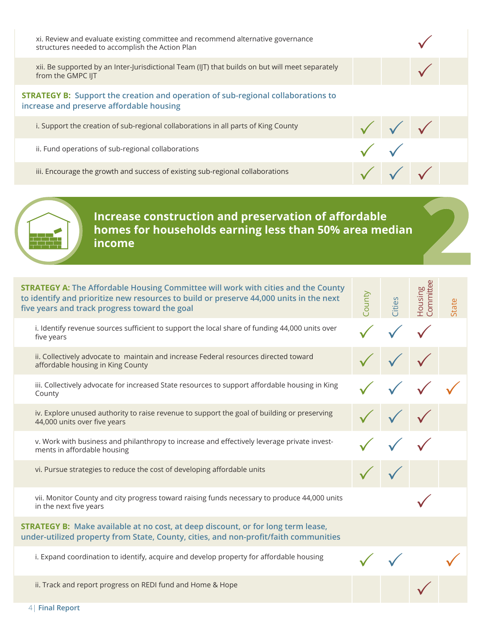| xi. Review and evaluate existing committee and recommend alternative governance<br>structures needed to accomplish the Action Plan  |  |  |
|-------------------------------------------------------------------------------------------------------------------------------------|--|--|
| xii. Be supported by an Inter-Jurisdictional Team (IJT) that builds on but will meet separately<br>from the GMPC IJT                |  |  |
| <b>STRATEGY B:</b> Support the creation and operation of sub-regional collaborations to<br>increase and preserve affordable housing |  |  |
| i. Support the creation of sub-regional collaborations in all parts of King County                                                  |  |  |
| ii. Fund operations of sub-regional collaborations                                                                                  |  |  |
| iii. Encourage the growth and success of existing sub-regional collaborations                                                       |  |  |

### **Increase construction and preservation of affordable homes for households earning less than 50% area median income**

| <b>STRATEGY A: The Affordable Housing Committee will work with cities and the County</b><br>to identify and prioritize new resources to build or preserve 44,000 units in the next<br>five years and track progress toward the goal | County | Cities | Housing<br>Committee | State |
|-------------------------------------------------------------------------------------------------------------------------------------------------------------------------------------------------------------------------------------|--------|--------|----------------------|-------|
| i. Identify revenue sources sufficient to support the local share of funding 44,000 units over<br>five years                                                                                                                        |        |        |                      |       |
| ii. Collectively advocate to maintain and increase Federal resources directed toward<br>affordable housing in King County                                                                                                           |        |        |                      |       |
| iii. Collectively advocate for increased State resources to support affordable housing in King<br>County                                                                                                                            |        |        |                      |       |
| iv. Explore unused authority to raise revenue to support the goal of building or preserving<br>44,000 units over five years                                                                                                         |        |        |                      |       |
| v. Work with business and philanthropy to increase and effectively leverage private invest-<br>ments in affordable housing                                                                                                          |        |        |                      |       |
| vi. Pursue strategies to reduce the cost of developing affordable units                                                                                                                                                             |        |        |                      |       |
| vii. Monitor County and city progress toward raising funds necessary to produce 44,000 units<br>in the next five years                                                                                                              |        |        |                      |       |
| <b>STRATEGY B:</b> Make available at no cost, at deep discount, or for long term lease,<br>under-utilized property from State, County, cities, and non-profit/faith communities                                                     |        |        |                      |       |
| i. Expand coordination to identify, acquire and develop property for affordable housing                                                                                                                                             |        |        |                      |       |
| ii. Track and report progress on REDI fund and Home & Hope                                                                                                                                                                          |        |        |                      |       |

4| **Final Report**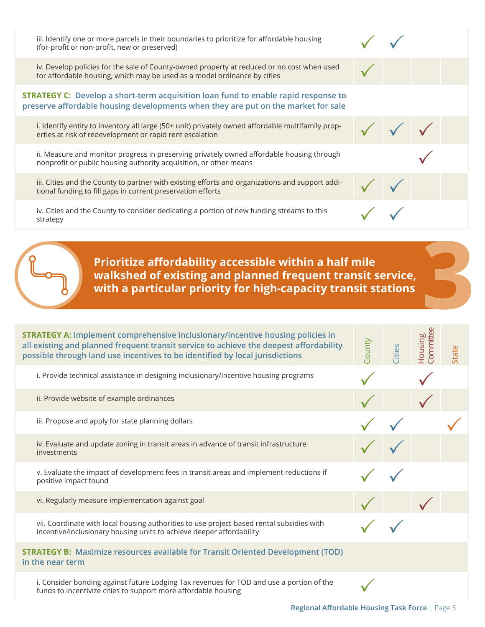iii. Identify one or more parcels in their boundaries to prioritize for affordable housing<br>(for-profit or non-profit, new or preserved)

iv. Develop policies for the sale of County-owned property at reduced or no cost when used<br>for affordable housing, which may be used as a model ordinance by cities

### $\textbf{STRATEGY C:}$  Develop a short-term acquisition loan fund to enable rapid response to **homes for households earning less than 50% area median preserve affordable housing developments when they are put on the market for sale**

i. Identify entity to inventory all large (50+ unit) privately owned affordable multifamily prop-<br>erties at risk of redevelopment or rapid rent escalation

ii. Measure and monitor progress in preserving privately owned affordable housing through  $\checkmark$ 

iii. Cities and the County to partner with existing efforts and organizations and support addi-<br>tional funding to fill gaps in current preservation efforts tional funding to fill gaps in current preservation efforts

iv. Cities and the County to consider dedicating a portion of new funding streams to this  $\sim$ affordable housing developments when they are put on the market for sales when the market for sales  $\mathbf v$ 

> **Prioritize affordability accessible within a half mile walkshed of existing and planned frequent transit service, with a particular priority for high-capacity transit stations**

| <b>STRATEGY A: Implement comprehensive inclusionary/incentive housing policies in</b><br>all existing and planned frequent transit service to achieve the deepest affordability<br>possible through land use incentives to be identified by local jurisdictions | County | Cities | committee<br>Housing | State |
|-----------------------------------------------------------------------------------------------------------------------------------------------------------------------------------------------------------------------------------------------------------------|--------|--------|----------------------|-------|
| i. Provide technical assistance in designing inclusionary/incentive housing programs                                                                                                                                                                            |        |        |                      |       |
| ii. Provide website of example ordinances                                                                                                                                                                                                                       |        |        |                      |       |
| iii. Propose and apply for state planning dollars                                                                                                                                                                                                               |        |        |                      |       |
| iv. Evaluate and update zoning in transit areas in advance of transit infrastructure<br>investments                                                                                                                                                             |        |        |                      |       |
| v. Evaluate the impact of development fees in transit areas and implement reductions if<br>positive impact found                                                                                                                                                |        |        |                      |       |
| vi. Regularly measure implementation against goal                                                                                                                                                                                                               |        |        |                      |       |
| vii. Coordinate with local housing authorities to use project-based rental subsidies with<br>incentive/inclusionary housing units to achieve deeper affordability                                                                                               |        |        |                      |       |
| <b>STRATEGY B:</b> Maximize resources available for Transit Oriented Development (TOD)<br>in the near term                                                                                                                                                      |        |        |                      |       |
| i. Consider bonding against future Lodging Tax revenues for TOD and use a portion of the<br>funds to incentivize cities to support more affordable housing                                                                                                      |        |        |                      |       |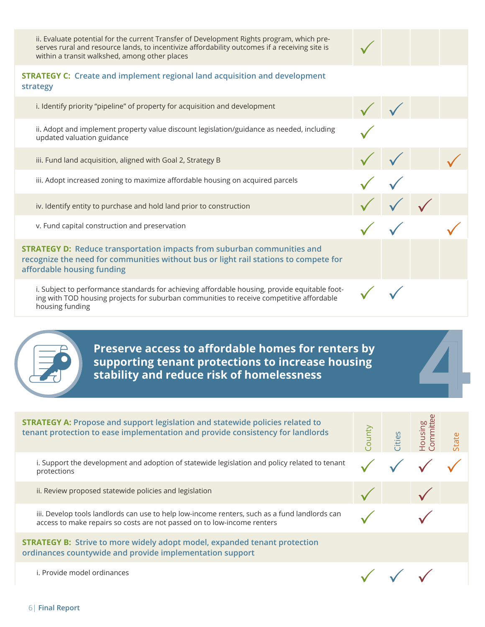ii. Evaluate potential for the current Transfer of Development Rights program, which preserves rural and resource lands, to incentivize affordability outcomes if a receiving site is<br>within a transit walkshed, among other places

### **STRATEGY C: Create and implement regional land acquisition and development strategy**

i. Identify priority "pipeline" of property for acquisition and development ii. Adopt and implement property value discount legislation/guidance as needed, including<br>updated valuation guidance iii. Fund land acquisition, aligned with Goal 2, Strategy B iii. Adopt increased zoning to maximize affordable housing on acquired parcels iv. Identify entity to purchase and hold land prior to construction v. Fund capital construction and preservation **STRATEGY D: Reduce transportation impacts from suburban communities and recognize the need for communities without bus or light rail stations to compete for affordable housing funding** i. Subject to performance standards for achieving affordable housing, provide equitable footing with TOD housing projects for suburban communities to receive competitive affordable housing funding  $\checkmark$ 

> **Preserve access to affordable homes for renters by supporting tenant protections to increase housing stability and reduce risk of homelessness**

| <b>STRATEGY A: Propose and support legislation and statewide policies related to</b><br>tenant protection to ease implementation and provide consistency for landlords   | ount | ities | ommitte<br>Housing | State |
|--------------------------------------------------------------------------------------------------------------------------------------------------------------------------|------|-------|--------------------|-------|
| i. Support the development and adoption of statewide legislation and policy related to tenant<br>protections                                                             |      |       |                    |       |
| ii. Review proposed statewide policies and legislation                                                                                                                   |      |       |                    |       |
| iii. Develop tools landlords can use to help low-income renters, such as a fund landlords can<br>access to make repairs so costs are not passed on to low-income renters |      |       |                    |       |
| <b>STRATEGY B:</b> Strive to more widely adopt model, expanded tenant protection<br>ordinances countywide and provide implementation support                             |      |       |                    |       |
| i. Provide model ordinances                                                                                                                                              |      |       |                    |       |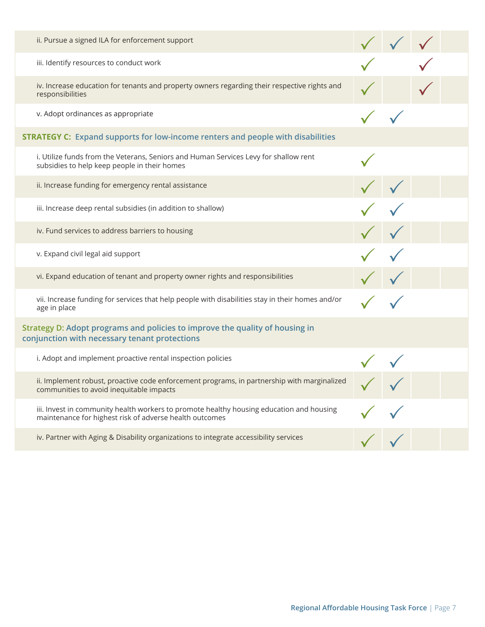| ii. Pursue a signed ILA for enforcement support                                                                                                     |  |  |
|-----------------------------------------------------------------------------------------------------------------------------------------------------|--|--|
| iii. Identify resources to conduct work                                                                                                             |  |  |
| iv. Increase education for tenants and property owners regarding their respective rights and<br>responsibilities                                    |  |  |
| v. Adopt ordinances as appropriate                                                                                                                  |  |  |
| <b>STRATEGY C:</b> Expand supports for low-income renters and people with disabilities                                                              |  |  |
| i. Utilize funds from the Veterans, Seniors and Human Services Levy for shallow rent<br>subsidies to help keep people in their homes                |  |  |
| ii. Increase funding for emergency rental assistance                                                                                                |  |  |
| iii. Increase deep rental subsidies (in addition to shallow)                                                                                        |  |  |
| iv. Fund services to address barriers to housing                                                                                                    |  |  |
| v. Expand civil legal aid support                                                                                                                   |  |  |
| vi. Expand education of tenant and property owner rights and responsibilities                                                                       |  |  |
| vii. Increase funding for services that help people with disabilities stay in their homes and/or<br>age in place                                    |  |  |
| Strategy D: Adopt programs and policies to improve the quality of housing in<br>conjunction with necessary tenant protections                       |  |  |
| i. Adopt and implement proactive rental inspection policies                                                                                         |  |  |
| ii. Implement robust, proactive code enforcement programs, in partnership with marginalized<br>communities to avoid inequitable impacts             |  |  |
| iii. Invest in community health workers to promote healthy housing education and housing<br>maintenance for highest risk of adverse health outcomes |  |  |
| iv. Partner with Aging & Disability organizations to integrate accessibility services                                                               |  |  |
|                                                                                                                                                     |  |  |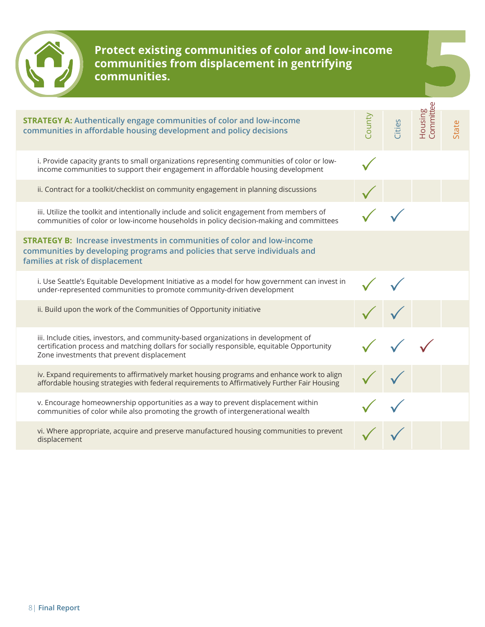

**Protect existing communities of color and low-income communities from displacement in gentrifying communities.**

| <b>STRATEGY A: Authentically engage communities of color and low-income</b><br>communities in affordable housing development and policy decisions                                                                               | County | Cities | Committee<br>Housing | State |
|---------------------------------------------------------------------------------------------------------------------------------------------------------------------------------------------------------------------------------|--------|--------|----------------------|-------|
| i. Provide capacity grants to small organizations representing communities of color or low-<br>income communities to support their engagement in affordable housing development                                                 |        |        |                      |       |
| ii. Contract for a toolkit/checklist on community engagement in planning discussions                                                                                                                                            |        |        |                      |       |
| iii. Utilize the toolkit and intentionally include and solicit engagement from members of<br>communities of color or low-income households in policy decision-making and committees                                             |        |        |                      |       |
| <b>STRATEGY B:</b> Increase investments in communities of color and low-income<br>communities by developing programs and policies that serve individuals and<br>families at risk of displacement                                |        |        |                      |       |
| i. Use Seattle's Equitable Development Initiative as a model for how government can invest in<br>under-represented communities to promote community-driven development                                                          |        |        |                      |       |
| ii. Build upon the work of the Communities of Opportunity initiative                                                                                                                                                            |        |        |                      |       |
| iii. Include cities, investors, and community-based organizations in development of<br>certification process and matching dollars for socially responsible, equitable Opportunity<br>Zone investments that prevent displacement |        |        |                      |       |
| iv. Expand requirements to affirmatively market housing programs and enhance work to align<br>affordable housing strategies with federal requirements to Affirmatively Further Fair Housing                                     |        |        |                      |       |
| v. Encourage homeownership opportunities as a way to prevent displacement within<br>communities of color while also promoting the growth of intergenerational wealth                                                            |        |        |                      |       |
| vi. Where appropriate, acquire and preserve manufactured housing communities to prevent<br>displacement                                                                                                                         |        |        |                      |       |
|                                                                                                                                                                                                                                 |        |        |                      |       |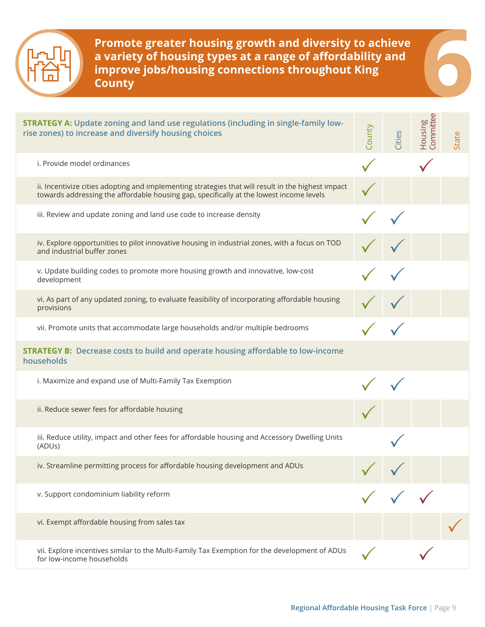

**Promote greater housing growth and diversity to achieve a variety of housing types at a range of affordability and improve jobs/housing connections throughout King County**

| <b>STRATEGY A: Update zoning and land use regulations (including in single-family low-</b><br>rise zones) to increase and diversify housing choices                                           | County     | Cities | Housing<br>Committee | State |
|-----------------------------------------------------------------------------------------------------------------------------------------------------------------------------------------------|------------|--------|----------------------|-------|
| i. Provide model ordinances                                                                                                                                                                   |            |        |                      |       |
| ii. Incentivize cities adopting and implementing strategies that will result in the highest impact<br>towards addressing the affordable housing gap, specifically at the lowest income levels |            |        |                      |       |
| iii. Review and update zoning and land use code to increase density                                                                                                                           |            |        |                      |       |
| iv. Explore opportunities to pilot innovative housing in industrial zones, with a focus on TOD<br>and industrial buffer zones                                                                 |            |        |                      |       |
| v. Update building codes to promote more housing growth and innovative, low-cost<br>development                                                                                               |            |        |                      |       |
| vi. As part of any updated zoning, to evaluate feasibility of incorporating affordable housing<br>provisions                                                                                  |            |        |                      |       |
| vii. Promote units that accommodate large households and/or multiple bedrooms                                                                                                                 |            |        |                      |       |
| <b>STRATEGY B:</b> Decrease costs to build and operate housing affordable to low-income<br>households                                                                                         |            |        |                      |       |
| i. Maximize and expand use of Multi-Family Tax Exemption                                                                                                                                      |            |        |                      |       |
| ii. Reduce sewer fees for affordable housing                                                                                                                                                  |            |        |                      |       |
| iii. Reduce utility, impact and other fees for affordable housing and Accessory Dwelling Units<br>(ADUs)                                                                                      |            |        |                      |       |
| iv. Streamline permitting process for affordable housing development and ADUs                                                                                                                 | $\sqrt{2}$ |        |                      |       |
| v. Support condominium liability reform                                                                                                                                                       |            |        |                      |       |
| vi. Exempt affordable housing from sales tax                                                                                                                                                  |            |        |                      |       |
| vii. Explore incentives similar to the Multi-Family Tax Exemption for the development of ADUs<br>for low-income households                                                                    |            |        |                      |       |

F